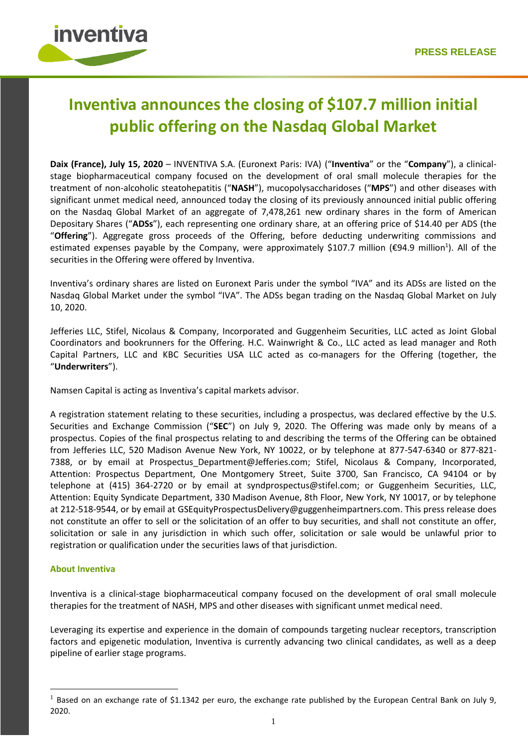

# **Inventiva announces the closing of \$107.7 million initial public offering on the Nasdaq Global Market**

**Daix (France), July 15, 2020** – INVENTIVA S.A. (Euronext Paris: IVA) ("**Inventiva**" or the "**Company**"), a clinicalstage biopharmaceutical company focused on the development of oral small molecule therapies for the treatment of non-alcoholic steatohepatitis ("**NASH**"), mucopolysaccharidoses ("**MPS**") and other diseases with significant unmet medical need, announced today the closing of its previously announced initial public offering on the Nasdaq Global Market of an aggregate of 7,478,261 new ordinary shares in the form of American Depositary Shares ("**ADSs**"), each representing one ordinary share, at an offering price of \$14.40 per ADS (the "**Offering**"). Aggregate gross proceeds of the Offering, before deducting underwriting commissions and estimated expenses payable by the Company, were approximately \$107.7 million (€94.9 million<sup>1</sup>). All of the securities in the Offering were offered by Inventiva.

Inventiva's ordinary shares are listed on Euronext Paris under the symbol "IVA" and its ADSs are listed on the Nasdaq Global Market under the symbol "IVA". The ADSs began trading on the Nasdaq Global Market on July 10, 2020.

Jefferies LLC, Stifel, Nicolaus & Company, Incorporated and Guggenheim Securities, LLC acted as Joint Global Coordinators and bookrunners for the Offering. H.C. Wainwright & Co., LLC acted as lead manager and Roth Capital Partners, LLC and KBC Securities USA LLC acted as co-managers for the Offering (together, the "**Underwriters**").

Namsen Capital is acting as Inventiva's capital markets advisor.

A registration statement relating to these securities, including a prospectus, was declared effective by the U.S. Securities and Exchange Commission ("**SEC**") on July 9, 2020. The Offering was made only by means of a prospectus. Copies of the final prospectus relating to and describing the terms of the Offering can be obtained from Jefferies LLC, 520 Madison Avenue New York, NY 10022, or by telephone at 877-547-6340 or 877-821- 7388, or by email at Prospectus Department@Jefferies.com; Stifel, Nicolaus & Company, Incorporated, Attention: Prospectus Department, One Montgomery Street, Suite 3700, San Francisco, CA 94104 or by telephone at (415) 364-2720 or by email at syndprospectus@stifel.com; or Guggenheim Securities, LLC, Attention: Equity Syndicate Department, 330 Madison Avenue, 8th Floor, New York, NY 10017, or by telephone at 212-518-9544, or by email at [GSEquityProspectusDelivery@guggenheimpartners.com.](https://www.globenewswire.com/Tracker?data=0JYxCqtK5RPhkNSDgg6__18PigK2xj3gqGldo3OB6KFxuOt_knA8DOfwC0_u4OqFfBQggiezQ_-rAYjLdIXAtZ5uKYPb6T9B8HS9z4sT-pJLvrkXkPk1gw067XfxbBsyFoibST9oIgxPg8WuNB7eUA24FJIP0GMuT5PaZx4lSeB8_1LD_fhMhdQcPHKE4bY7) This press release does not constitute an offer to sell or the solicitation of an offer to buy securities, and shall not constitute an offer, solicitation or sale in any jurisdiction in which such offer, solicitation or sale would be unlawful prior to registration or qualification under the securities laws of that jurisdiction.

## **About Inventiva**

Inventiva is a clinical-stage biopharmaceutical company focused on the development of oral small molecule therapies for the treatment of NASH, MPS and other diseases with significant unmet medical need.

Leveraging its expertise and experience in the domain of compounds targeting nuclear receptors, transcription factors and epigenetic modulation, Inventiva is currently advancing two clinical candidates, as well as a deep pipeline of earlier stage programs.

 $1$  Based on an exchange rate of \$1.1342 per euro, the exchange rate published by the European Central Bank on July 9, 2020.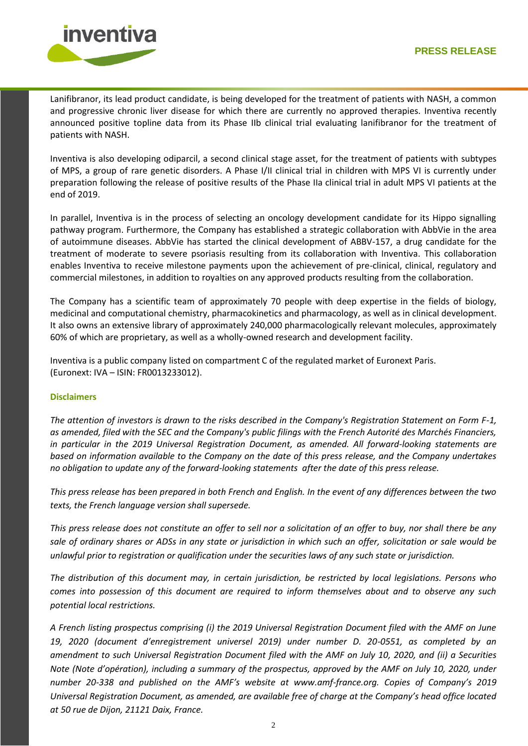

Lanifibranor, its lead product candidate, is being developed for the treatment of patients with NASH, a common and progressive chronic liver disease for which there are currently no approved therapies. Inventiva recently announced positive topline data from its Phase IIb clinical trial evaluating lanifibranor for the treatment of patients with NASH.

Inventiva is also developing odiparcil, a second clinical stage asset, for the treatment of patients with subtypes of MPS, a group of rare genetic disorders. A Phase I/II clinical trial in children with MPS VI is currently under preparation following the release of positive results of the Phase IIa clinical trial in adult MPS VI patients at the end of 2019.

In parallel, Inventiva is in the process of selecting an oncology development candidate for its Hippo signalling pathway program. Furthermore, the Company has established a strategic collaboration with AbbVie in the area of autoimmune diseases. AbbVie has started the clinical development of ABBV-157, a drug candidate for the treatment of moderate to severe psoriasis resulting from its collaboration with Inventiva. This collaboration enables Inventiva to receive milestone payments upon the achievement of pre-clinical, clinical, regulatory and commercial milestones, in addition to royalties on any approved products resulting from the collaboration.

The Company has a scientific team of approximately 70 people with deep expertise in the fields of biology, medicinal and computational chemistry, pharmacokinetics and pharmacology, as well as in clinical development. It also owns an extensive library of approximately 240,000 pharmacologically relevant molecules, approximately 60% of which are proprietary, as well as a wholly-owned research and development facility.

Inventiva is a public company listed on compartment C of the regulated market of Euronext Paris. (Euronext: IVA – ISIN: FR0013233012).

## **Disclaimers**

*The attention of investors is drawn to the risks described in the Company's Registration Statement on Form F-1, as amended, filed with the SEC and the Company's public filings with the French Autorité des Marchés Financiers, in particular in the 2019 Universal Registration Document, as amended. All forward-looking statements are based on information available to the Company on the date of this press release, and the Company undertakes no obligation to update any of the forward-looking statements after the date of this press release.*

*This press release has been prepared in both French and English. In the event of any differences between the two texts, the French language version shall supersede.* 

*This press release does not constitute an offer to sell nor a solicitation of an offer to buy, nor shall there be any sale of ordinary shares or ADSs in any state or jurisdiction in which such an offer, solicitation or sale would be unlawful prior to registration or qualification under the securities laws of any such state or jurisdiction.*

*The distribution of this document may, in certain jurisdiction, be restricted by local legislations. Persons who comes into possession of this document are required to inform themselves about and to observe any such potential local restrictions.* 

*A French listing prospectus comprising (i) the 2019 Universal Registration Document filed with the AMF on June 19, 2020 (document d'enregistrement universel 2019) under number D. 20-0551, as completed by an amendment to such Universal Registration Document filed with the AMF on July 10, 2020, and (ii) a Securities Note (Note d'opération), including a summary of the prospectus, approved by the AMF on July 10, 2020, under number 20-338 and published on the AMF's website at www.amf-france.org. Copies of Company's 2019 Universal Registration Document, as amended, are available free of charge at the Company's head office located at 50 rue de Dijon, 21121 Daix, France.*